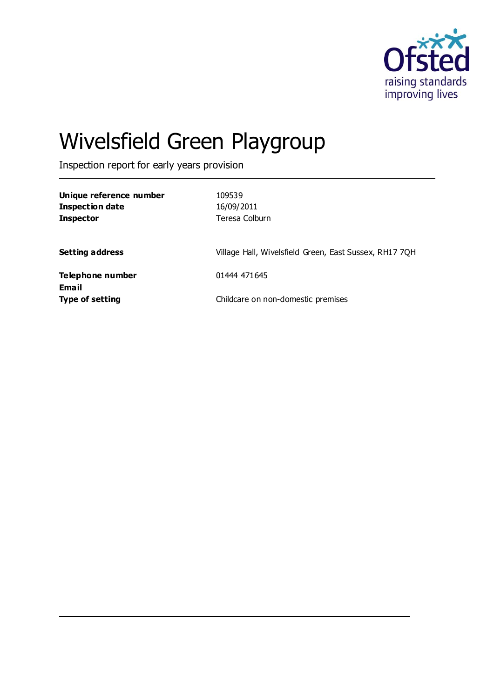

# Wivelsfield Green Playgroup

Inspection report for early years provision

| Unique reference number<br><b>Inspection date</b><br><b>Inspector</b> | 109539<br>16/09/2011<br>Teresa Colburn                 |
|-----------------------------------------------------------------------|--------------------------------------------------------|
| <b>Setting address</b>                                                | Village Hall, Wivelsfield Green, East Sussex, RH17 7QH |
| Telephone number<br>Email                                             | 01444 471645                                           |
| <b>Type of setting</b>                                                | Childcare on non-domestic premises                     |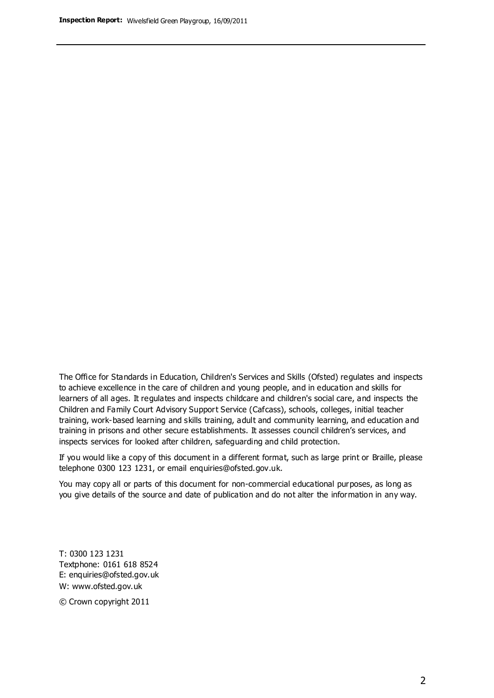The Office for Standards in Education, Children's Services and Skills (Ofsted) regulates and inspects to achieve excellence in the care of children and young people, and in education and skills for learners of all ages. It regulates and inspects childcare and children's social care, and inspects the Children and Family Court Advisory Support Service (Cafcass), schools, colleges, initial teacher training, work-based learning and skills training, adult and community learning, and education and training in prisons and other secure establishments. It assesses council children's services, and inspects services for looked after children, safeguarding and child protection.

If you would like a copy of this document in a different format, such as large print or Braille, please telephone 0300 123 1231, or email enquiries@ofsted.gov.uk.

You may copy all or parts of this document for non-commercial educational purposes, as long as you give details of the source and date of publication and do not alter the information in any way.

T: 0300 123 1231 Textphone: 0161 618 8524 E: enquiries@ofsted.gov.uk W: [www.ofsted.gov.uk](http://www.ofsted.gov.uk/)

© Crown copyright 2011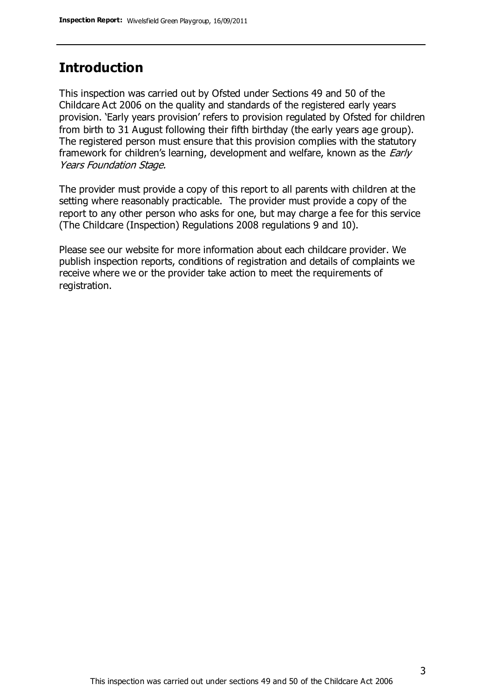### **Introduction**

This inspection was carried out by Ofsted under Sections 49 and 50 of the Childcare Act 2006 on the quality and standards of the registered early years provision. 'Early years provision' refers to provision regulated by Ofsted for children from birth to 31 August following their fifth birthday (the early years age group). The registered person must ensure that this provision complies with the statutory framework for children's learning, development and welfare, known as the *Early* Years Foundation Stage.

The provider must provide a copy of this report to all parents with children at the setting where reasonably practicable. The provider must provide a copy of the report to any other person who asks for one, but may charge a fee for this service (The Childcare (Inspection) Regulations 2008 regulations 9 and 10).

Please see our website for more information about each childcare provider. We publish inspection reports, conditions of registration and details of complaints we receive where we or the provider take action to meet the requirements of registration.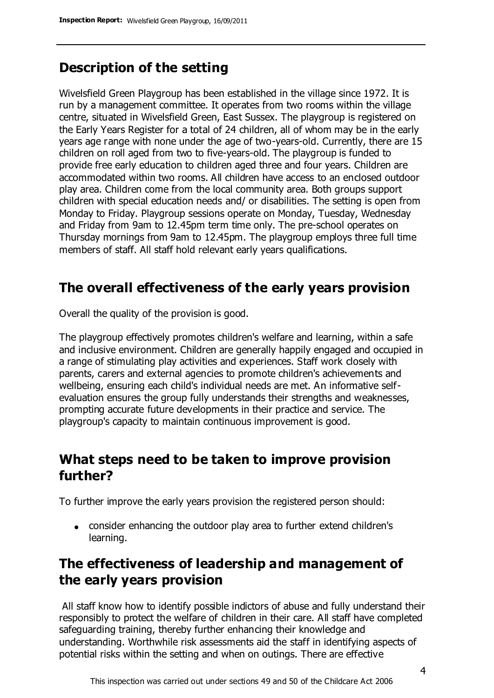## **Description of the setting**

Wivelsfield Green Playgroup has been established in the village since 1972. It is run by a management committee. It operates from two rooms within the village centre, situated in Wivelsfield Green, East Sussex. The playgroup is registered on the Early Years Register for a total of 24 children, all of whom may be in the early years age range with none under the age of two-years-old. Currently, there are 15 children on roll aged from two to five-years-old. The playgroup is funded to provide free early education to children aged three and four years. Children are accommodated within two rooms. All children have access to an enclosed outdoor play area. Children come from the local community area. Both groups support children with special education needs and/ or disabilities. The setting is open from Monday to Friday. Playgroup sessions operate on Monday, Tuesday, Wednesday and Friday from 9am to 12.45pm term time only. The pre-school operates on Thursday mornings from 9am to 12.45pm. The playgroup employs three full time members of staff. All staff hold relevant early years qualifications.

# **The overall effectiveness of the early years provision**

Overall the quality of the provision is good.

The playgroup effectively promotes children's welfare and learning, within a safe and inclusive environment. Children are generally happily engaged and occupied in a range of stimulating play activities and experiences. Staff work closely with parents, carers and external agencies to promote children's achievements and wellbeing, ensuring each child's individual needs are met. An informative selfevaluation ensures the group fully understands their strengths and weaknesses, prompting accurate future developments in their practice and service. The playgroup's capacity to maintain continuous improvement is good.

### **What steps need to be taken to improve provision further?**

To further improve the early years provision the registered person should:

consider enhancing the outdoor play area to further extend children's learning.

# **The effectiveness of leadership and management of the early years provision**

All staff know how to identify possible indictors of abuse and fully understand their responsibly to protect the welfare of children in their care. All staff have completed safeguarding training, thereby further enhancing their knowledge and understanding. Worthwhile risk assessments aid the staff in identifying aspects of potential risks within the setting and when on outings. There are effective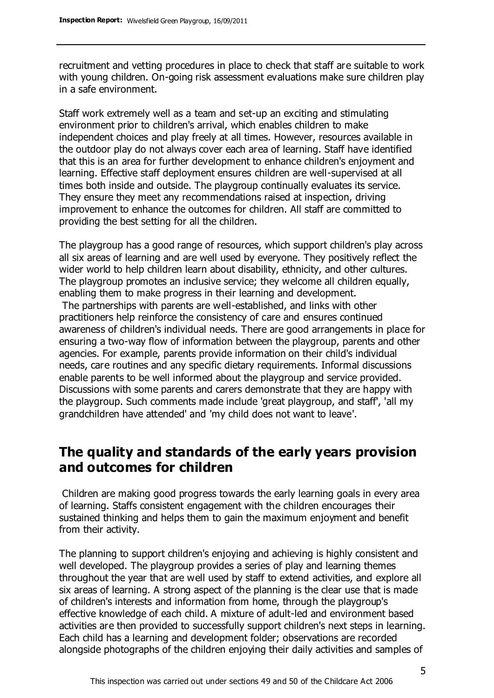recruitment and vetting procedures in place to check that staff are suitable to work with young children. On-going risk assessment evaluations make sure children play in a safe environment.

Staff work extremely well as a team and set-up an exciting and stimulating environment prior to children's arrival, which enables children to make independent choices and play freely at all times. However, resources available in the outdoor play do not always cover each area of learning. Staff have identified that this is an area for further development to enhance children's enjoyment and learning. Effective staff deployment ensures children are well-supervised at all times both inside and outside. The playgroup continually evaluates its service. They ensure they meet any recommendations raised at inspection, driving improvement to enhance the outcomes for children. All staff are committed to providing the best setting for all the children.

The playgroup has a good range of resources, which support children's play across all six areas of learning and are well used by everyone. They positively reflect the wider world to help children learn about disability, ethnicity, and other cultures. The playgroup promotes an inclusive service; they welcome all children equally, enabling them to make progress in their learning and development.

The partnerships with parents are well-established, and links with other practitioners help reinforce the consistency of care and ensures continued awareness of children's individual needs. There are good arrangements in place for ensuring a two-way flow of information between the playgroup, parents and other agencies. For example, parents provide information on their child's individual needs, care routines and any specific dietary requirements. Informal discussions enable parents to be well informed about the playgroup and service provided. Discussions with some parents and carers demonstrate that they are happy with the playgroup. Such comments made include 'great playgroup, and staff', 'all my grandchildren have attended' and 'my child does not want to leave'.

### **The quality and standards of the early years provision and outcomes for children**

Children are making good progress towards the early learning goals in every area of learning. Staffs consistent engagement with the children encourages their sustained thinking and helps them to gain the maximum enjoyment and benefit from their activity.

The planning to support children's enjoying and achieving is highly consistent and well developed. The playgroup provides a series of play and learning themes throughout the year that are well used by staff to extend activities, and explore all six areas of learning. A strong aspect of the planning is the clear use that is made of children's interests and information from home, through the playgroup's effective knowledge of each child. A mixture of adult-led and environment based activities are then provided to successfully support children's next steps in learning. Each child has a learning and development folder; observations are recorded alongside photographs of the children enjoying their daily activities and samples of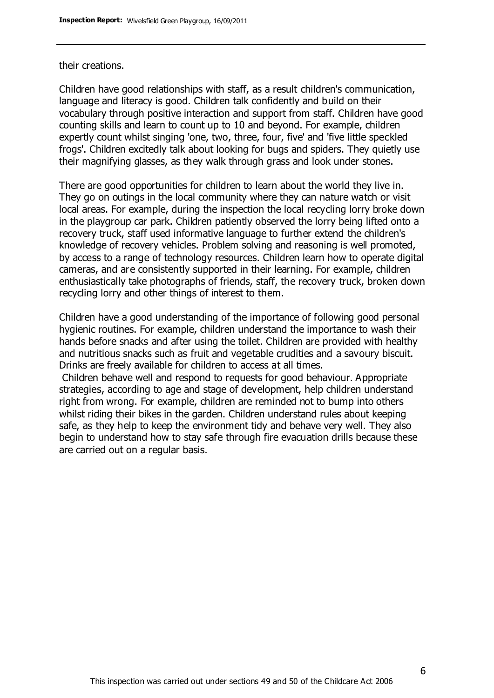#### their creations.

Children have good relationships with staff, as a result children's communication, language and literacy is good. Children talk confidently and build on their vocabulary through positive interaction and support from staff. Children have good counting skills and learn to count up to 10 and beyond. For example, children expertly count whilst singing 'one, two, three, four, five' and 'five little speckled frogs'. Children excitedly talk about looking for bugs and spiders. They quietly use their magnifying glasses, as they walk through grass and look under stones.

There are good opportunities for children to learn about the world they live in. They go on outings in the local community where they can nature watch or visit local areas. For example, during the inspection the local recycling lorry broke down in the playgroup car park. Children patiently observed the lorry being lifted onto a recovery truck, staff used informative language to further extend the children's knowledge of recovery vehicles. Problem solving and reasoning is well promoted, by access to a range of technology resources. Children learn how to operate digital cameras, and are consistently supported in their learning. For example, children enthusiastically take photographs of friends, staff, the recovery truck, broken down recycling lorry and other things of interest to them.

Children have a good understanding of the importance of following good personal hygienic routines. For example, children understand the importance to wash their hands before snacks and after using the toilet. Children are provided with healthy and nutritious snacks such as fruit and vegetable crudities and a savoury biscuit. Drinks are freely available for children to access at all times.

Children behave well and respond to requests for good behaviour. Appropriate strategies, according to age and stage of development, help children understand right from wrong. For example, children are reminded not to bump into others whilst riding their bikes in the garden. Children understand rules about keeping safe, as they help to keep the environment tidy and behave very well. They also begin to understand how to stay safe through fire evacuation drills because these are carried out on a regular basis.